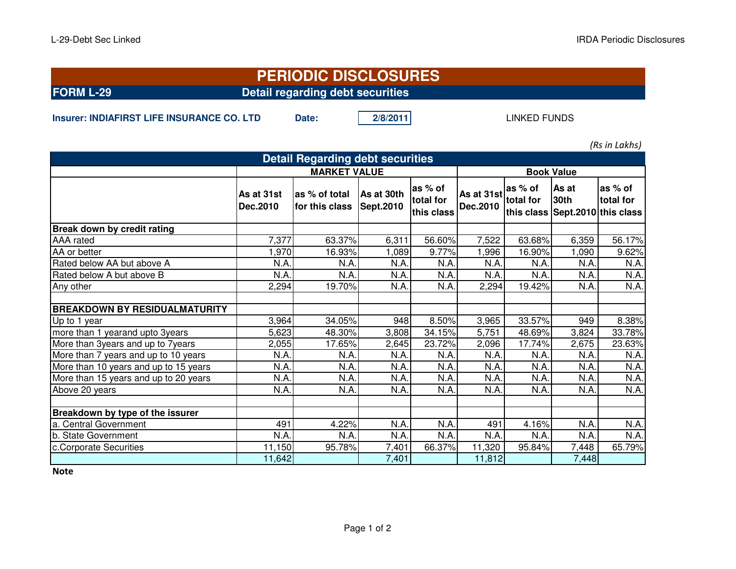## **FORM L-29 Detail regarding debt securitiesPERIODIC DISCLOSURES**

**Insurer: INDIAFIRST LIFE INSURANCE CO. LTD Date:** 2/8/2011

LINKED FUNDS

*(Rs in Lakhs)*

| <b>Detail Regarding debt securities</b> |                        |                                 |                         |                                    |                        |                      |                                                         |                      |  |  |  |  |
|-----------------------------------------|------------------------|---------------------------------|-------------------------|------------------------------------|------------------------|----------------------|---------------------------------------------------------|----------------------|--|--|--|--|
|                                         | <b>MARKET VALUE</b>    |                                 |                         |                                    | <b>Book Value</b>      |                      |                                                         |                      |  |  |  |  |
|                                         | As at 31st<br>Dec.2010 | as % of total<br>for this class | As at 30th<br>Sept.2010 | as % of<br>total for<br>this class | As at 31st<br>Dec.2010 | as % of<br>total for | As at<br><b>30th</b><br>this class Sept.2010 this class | as % of<br>total for |  |  |  |  |
| Break down by credit rating             |                        |                                 |                         |                                    |                        |                      |                                                         |                      |  |  |  |  |
| AAA rated                               | 7,377                  | 63.37%                          | 6,311                   | 56.60%                             | 7,522                  | 63.68%               | 6,359                                                   | 56.17%               |  |  |  |  |
| AA or better                            | 1,970                  | 16.93%                          | 1,089                   | 9.77%                              | 1,996                  | 16.90%               | ,090                                                    | 9.62%                |  |  |  |  |
| Rated below AA but above A              | N.A                    | N.A.                            | N.A.                    | N.A.                               | N.A                    | N.A.                 | N.A.                                                    | N.A.                 |  |  |  |  |
| Rated below A but above B               | N.A.                   | N.A.                            | N.A.                    | N.A.                               | N.A.                   | N.A                  | N.A.                                                    | N.A.                 |  |  |  |  |
| Any other                               | 2,294                  | 19.70%                          | N.A.                    | N.A.                               | 2,294                  | 19.42%               | N.A.                                                    | N.A.                 |  |  |  |  |
| <b>BREAKDOWN BY RESIDUALMATURITY</b>    |                        |                                 |                         |                                    |                        |                      |                                                         |                      |  |  |  |  |
| Up to 1 year                            | 3,964                  | 34.05%                          | 948                     | 8.50%                              | 3,965                  | 33.57%               | 949                                                     | 8.38%                |  |  |  |  |
| more than 1 yearand upto 3years         | 5,623                  | 48.30%                          | 3,808                   | 34.15%                             | 5,751                  | 48.69%               | 3,824                                                   | 33.78%               |  |  |  |  |
| More than 3years and up to 7years       | 2,055                  | 17.65%                          | 2,645                   | 23.72%                             | 2,096                  | 17.74%               | 2,675                                                   | 23.63%               |  |  |  |  |
| More than 7 years and up to 10 years    | N.A.                   | N.A.                            | N.A.                    | N.A.                               | N.A.                   | N.A                  | N.A.                                                    | N.A.                 |  |  |  |  |
| More than 10 years and up to 15 years   | N.A.                   | N.A.                            | N.A.                    | N.A.                               | N.A.                   | N.A.                 | N.A.                                                    | N.A.                 |  |  |  |  |
| More than 15 years and up to 20 years   | N.A.                   | N.A.                            | N.A.                    | N.A.                               | N.A.                   | N.A.                 | N.A.                                                    | N.A.                 |  |  |  |  |
| Above 20 years                          | N.A.                   | N.A.                            | N.A.                    | N.A.                               | N.A.                   | N.A.                 | N.A.                                                    | N.A.                 |  |  |  |  |
| Breakdown by type of the issurer        |                        |                                 |                         |                                    |                        |                      |                                                         |                      |  |  |  |  |
| a. Central Government                   | 491                    | 4.22%                           | N.A.                    | N.A.                               | 491                    | 4.16%                | N.A.                                                    | N.A.                 |  |  |  |  |
| b. State Government                     | N.A.                   | N.A.                            | N.A.                    | N.A.                               | N.A.                   | N.A.                 | N.A.                                                    | N.A.                 |  |  |  |  |
| c.Corporate Securities                  | 11,150                 | 95.78%                          | 7,401                   | 66.37%                             | 11,320                 | 95.84%               | 7,448                                                   | 65.79%               |  |  |  |  |
|                                         | 11,642                 |                                 | 7,401                   |                                    | 11,812                 |                      | 7,448                                                   |                      |  |  |  |  |

**Note**